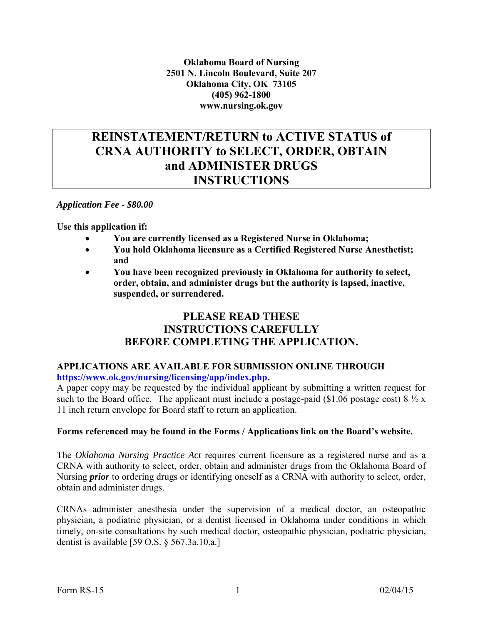**Oklahoma Board of Nursing 2501 N. Lincoln Boulevard, Suite 207 Oklahoma City, OK 73105 (405) 962-1800 www.nursing.ok.gov** 

### **REINSTATEMENT/RETURN to ACTIVE STATUS of CRNA AUTHORITY to SELECT, ORDER, OBTAIN and ADMINISTER DRUGS INSTRUCTIONS**

*Application Fee - \$80.00*

**Use this application if:** 

- **You are currently licensed as a Registered Nurse in Oklahoma;**
- **You hold Oklahoma licensure as a Certified Registered Nurse Anesthetist; and**
- **You have been recognized previously in Oklahoma for authority to select, order, obtain, and administer drugs but the authority is lapsed, inactive, suspended, or surrendered.**

#### **PLEASE READ THESE INSTRUCTIONS CAREFULLY BEFORE COMPLETING THE APPLICATION.**

#### **APPLICATIONS ARE AVAILABLE FOR SUBMISSION ONLINE THROUGH [https://www.ok.gov/nursing/licensing/app/index.php.](https://www.ok.gov/nursing/licensing/app/index.php)**

A paper copy may be requested by the individual applicant by submitting a written request for such to the Board office. The applicant must include a postage-paid (\$1.06 postage cost)  $8\frac{1}{2}x$ 11 inch return envelope for Board staff to return an application.

#### **Forms referenced may be found in the Forms / Applications link on the Board's website.**

The *Oklahoma Nursing Practice Act* requires current licensure as a registered nurse and as a CRNA with authority to select, order, obtain and administer drugs from the Oklahoma Board of Nursing *prior* to ordering drugs or identifying oneself as a CRNA with authority to select, order, obtain and administer drugs.

CRNAs administer anesthesia under the supervision of a medical doctor, an osteopathic physician, a podiatric physician, or a dentist licensed in Oklahoma under conditions in which timely, on-site consultations by such medical doctor, osteopathic physician, podiatric physician, dentist is available [59 O.S. § 567.3a.10.a.]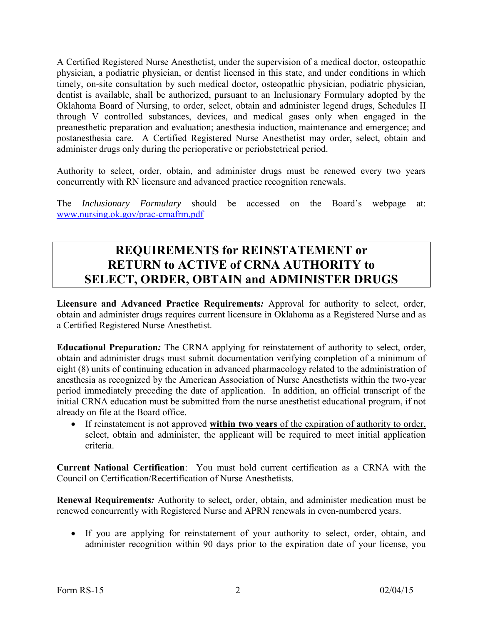A Certified Registered Nurse Anesthetist, under the supervision of a medical doctor, osteopathic physician, a podiatric physician, or dentist licensed in this state, and under conditions in which timely, on-site consultation by such medical doctor, osteopathic physician, podiatric physician, dentist is available, shall be authorized, pursuant to an Inclusionary Formulary adopted by the Oklahoma Board of Nursing, to order, select, obtain and administer legend drugs, Schedules II through V controlled substances, devices, and medical gases only when engaged in the preanesthetic preparation and evaluation; anesthesia induction, maintenance and emergence; and postanesthesia care. A Certified Registered Nurse Anesthetist may order, select, obtain and administer drugs only during the perioperative or periobstetrical period.

Authority to select, order, obtain, and administer drugs must be renewed every two years concurrently with RN licensure and advanced practice recognition renewals.

The *Inclusionary Formulary* should be accessed on the Board's webpage at: [www.nursing.ok.gov/prac-crnafrm.pdf](http://www.ok.gov/nursing/prac-crnafrm.pdf)

## **REQUIREMENTS for REINSTATEMENT or RETURN to ACTIVE of CRNA AUTHORITY to SELECT, ORDER, OBTAIN and ADMINISTER DRUGS**

**Licensure and Advanced Practice Requirements***:* Approval for authority to select, order, obtain and administer drugs requires current licensure in Oklahoma as a Registered Nurse and as a Certified Registered Nurse Anesthetist.

**Educational Preparation***:* The CRNA applying for reinstatement of authority to select, order, obtain and administer drugs must submit documentation verifying completion of a minimum of eight (8) units of continuing education in advanced pharmacology related to the administration of anesthesia as recognized by the American Association of Nurse Anesthetists within the two-year period immediately preceding the date of application. In addition, an official transcript of the initial CRNA education must be submitted from the nurse anesthetist educational program, if not already on file at the Board office.

 If reinstatement is not approved **within two years** of the expiration of authority to order, select, obtain and administer, the applicant will be required to meet initial application criteria.

**Current National Certification**: You must hold current certification as a CRNA with the Council on Certification/Recertification of Nurse Anesthetists.

**Renewal Requirements***:* Authority to select, order, obtain, and administer medication must be renewed concurrently with Registered Nurse and APRN renewals in even-numbered years.

 If you are applying for reinstatement of your authority to select, order, obtain, and administer recognition within 90 days prior to the expiration date of your license, you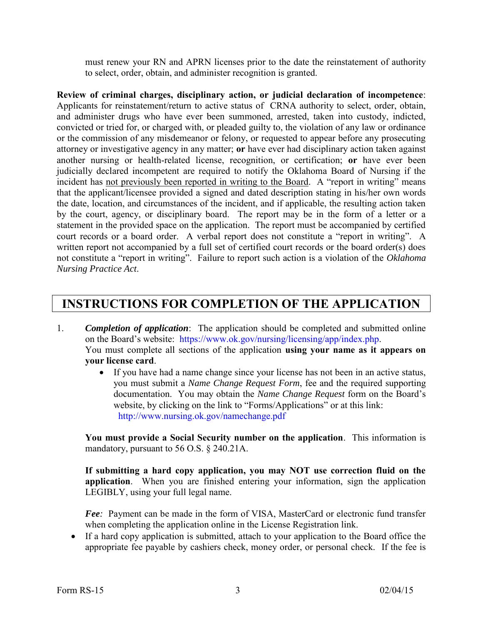must renew your RN and APRN licenses prior to the date the reinstatement of authority to select, order, obtain, and administer recognition is granted.

**Review of criminal charges, disciplinary action, or judicial declaration of incompetence**: Applicants for reinstatement/return to active status of CRNA authority to select, order, obtain, and administer drugs who have ever been summoned, arrested, taken into custody, indicted, convicted or tried for, or charged with, or pleaded guilty to, the violation of any law or ordinance or the commission of any misdemeanor or felony, or requested to appear before any prosecuting attorney or investigative agency in any matter; **or** have ever had disciplinary action taken against another nursing or health-related license, recognition, or certification; **or** have ever been judicially declared incompetent are required to notify the Oklahoma Board of Nursing if the incident has not previously been reported in writing to the Board. A "report in writing" means that the applicant/licensee provided a signed and dated description stating in his/her own words the date, location, and circumstances of the incident, and if applicable, the resulting action taken by the court, agency, or disciplinary board. The report may be in the form of a letter or a statement in the provided space on the application. The report must be accompanied by certified court records or a board order. A verbal report does not constitute a "report in writing". A written report not accompanied by a full set of certified court records or the board order(s) does not constitute a "report in writing". Failure to report such action is a violation of the *Oklahoma Nursing Practice Act*.

# **INSTRUCTIONS FOR COMPLETION OF THE APPLICATION**

- 1. *Completion of application*: The application should be completed and submitted online on the Board's website: [https://www.ok.gov/nursing/licensing/app/index.php.](https://www.ok.gov/nursing/licensing/app/index.php) You must complete all sections of the application **using your name as it appears on your license card**.
	- If you have had a name change since your license has not been in an active status, you must submit a *Name Change Request Form*, fee and the required supporting documentation. You may obtain the *Name Change Request* form on the Board's website, by clicking on the link to "Forms/Applications" or at this link: [http://www.nursing.ok.gov/namechange.pdf](http://www.ok.gov/nursing/namechange.pdf)

**You must provide a Social Security number on the application**. This information is mandatory, pursuant to 56 O.S. § 240.21A.

**If submitting a hard copy application, you may NOT use correction fluid on the application**. When you are finished entering your information, sign the application LEGIBLY, using your full legal name.

 *Fee:* Payment can be made in the form of VISA, MasterCard or electronic fund transfer when completing the application online in the License Registration link.

 If a hard copy application is submitted, attach to your application to the Board office the appropriate fee payable by cashiers check, money order, or personal check. If the fee is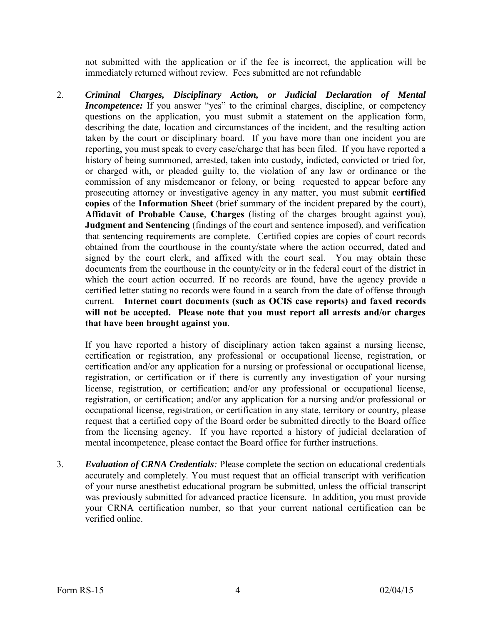not submitted with the application or if the fee is incorrect, the application will be immediately returned without review. Fees submitted are not refundable

2. *Criminal Charges, Disciplinary Action, or Judicial Declaration of Mental Incompetence:* If you answer "yes" to the criminal charges, discipline, or competency questions on the application, you must submit a statement on the application form, describing the date, location and circumstances of the incident, and the resulting action taken by the court or disciplinary board. If you have more than one incident you are reporting, you must speak to every case/charge that has been filed. If you have reported a history of being summoned, arrested, taken into custody, indicted, convicted or tried for, or charged with, or pleaded guilty to, the violation of any law or ordinance or the commission of any misdemeanor or felony, or being requested to appear before any prosecuting attorney or investigative agency in any matter, you must submit **certified copies** of the **Information Sheet** (brief summary of the incident prepared by the court), **Affidavit of Probable Cause**, **Charges** (listing of the charges brought against you), **Judgment and Sentencing** (findings of the court and sentence imposed), and verification that sentencing requirements are complete. Certified copies are copies of court records obtained from the courthouse in the county/state where the action occurred, dated and signed by the court clerk, and affixed with the court seal. You may obtain these documents from the courthouse in the county/city or in the federal court of the district in which the court action occurred. If no records are found, have the agency provide a certified letter stating no records were found in a search from the date of offense through current. **Internet court documents (such as OCIS case reports) and faxed records will not be accepted. Please note that you must report all arrests and/or charges that have been brought against you**.

If you have reported a history of disciplinary action taken against a nursing license, certification or registration, any professional or occupational license, registration, or certification and/or any application for a nursing or professional or occupational license, registration, or certification or if there is currently any investigation of your nursing license, registration, or certification; and/or any professional or occupational license, registration, or certification; and/or any application for a nursing and/or professional or occupational license, registration, or certification in any state, territory or country, please request that a certified copy of the Board order be submitted directly to the Board office from the licensing agency. If you have reported a history of judicial declaration of mental incompetence, please contact the Board office for further instructions.

3. *Evaluation of CRNA Credentials:* Please complete the section on educational credentials accurately and completely. You must request that an official transcript with verification of your nurse anesthetist educational program be submitted, unless the official transcript was previously submitted for advanced practice licensure. In addition, you must provide your CRNA certification number, so that your current national certification can be verified online.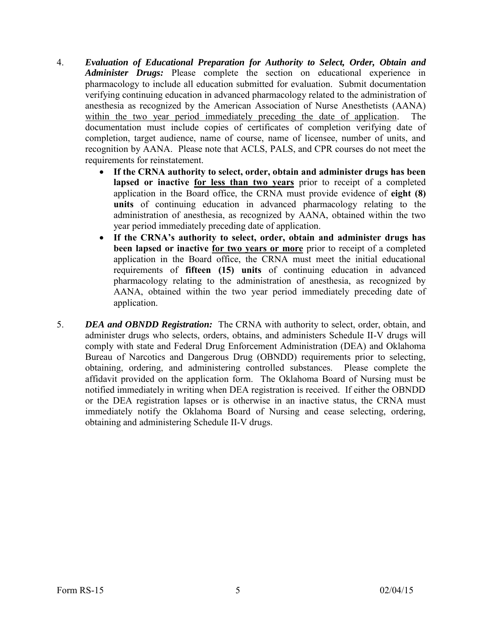- 4. *Evaluation of Educational Preparation for Authority to Select, Order, Obtain and Administer Drugs:* Please complete the section on educational experience in pharmacology to include all education submitted for evaluation. Submit documentation verifying continuing education in advanced pharmacology related to the administration of anesthesia as recognized by the American Association of Nurse Anesthetists (AANA) within the two year period immediately preceding the date of application. The documentation must include copies of certificates of completion verifying date of completion, target audience, name of course, name of licensee, number of units, and recognition by AANA. Please note that ACLS, PALS, and CPR courses do not meet the requirements for reinstatement.
	- **If the CRNA authority to select, order, obtain and administer drugs has been lapsed or inactive for less than two years** prior to receipt of a completed application in the Board office, the CRNA must provide evidence of **eight (8) units** of continuing education in advanced pharmacology relating to the administration of anesthesia, as recognized by AANA, obtained within the two year period immediately preceding date of application.
	- **If the CRNA's authority to select, order, obtain and administer drugs has been lapsed or inactive for two years or more** prior to receipt of a completed application in the Board office, the CRNA must meet the initial educational requirements of **fifteen (15) units** of continuing education in advanced pharmacology relating to the administration of anesthesia, as recognized by AANA, obtained within the two year period immediately preceding date of application.
- 5. *DEA and OBNDD Registration:* The CRNA with authority to select, order, obtain, and administer drugs who selects, orders, obtains, and administers Schedule II-V drugs will comply with state and Federal Drug Enforcement Administration (DEA) and Oklahoma Bureau of Narcotics and Dangerous Drug (OBNDD) requirements prior to selecting, obtaining, ordering, and administering controlled substances. Please complete the affidavit provided on the application form. The Oklahoma Board of Nursing must be notified immediately in writing when DEA registration is received. If either the OBNDD or the DEA registration lapses or is otherwise in an inactive status, the CRNA must immediately notify the Oklahoma Board of Nursing and cease selecting, ordering, obtaining and administering Schedule II-V drugs.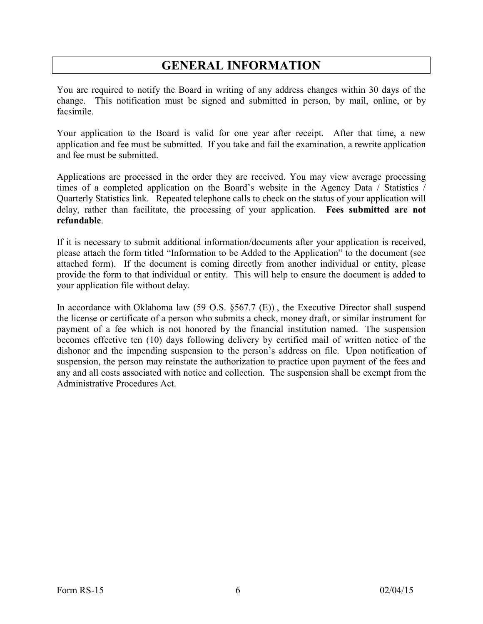# **GENERAL INFORMATION**

You are required to notify the Board in writing of any address changes within 30 days of the change. This notification must be signed and submitted in person, by mail, online, or by facsimile.

Your application to the Board is valid for one year after receipt. After that time, a new application and fee must be submitted. If you take and fail the examination, a rewrite application and fee must be submitted.

Applications are processed in the order they are received. You may view average processing times of a completed application on the Board's website in the Agency Data / Statistics / Quarterly Statistics link. Repeated telephone calls to check on the status of your application will delay, rather than facilitate, the processing of your application. **Fees submitted are not refundable**.

If it is necessary to submit additional information/documents after your application is received, please attach the form titled "Information to be Added to the Application" to the document (see attached form). If the document is coming directly from another individual or entity, please provide the form to that individual or entity. This will help to ensure the document is added to your application file without delay.

In accordance with Oklahoma law (59 O.S. §567.7 (E)), the Executive Director shall suspend the license or certificate of a person who submits a check, money draft, or similar instrument for payment of a fee which is not honored by the financial institution named. The suspension becomes effective ten (10) days following delivery by certified mail of written notice of the dishonor and the impending suspension to the person's address on file. Upon notification of suspension, the person may reinstate the authorization to practice upon payment of the fees and any and all costs associated with notice and collection. The suspension shall be exempt from the Administrative Procedures Act.